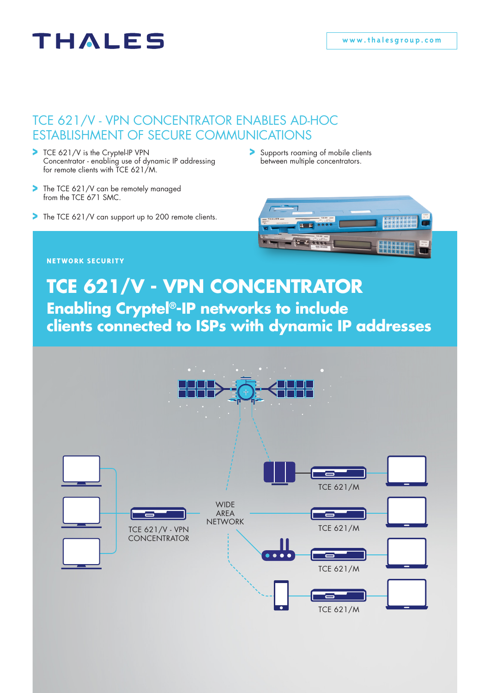# THALES

### TCE 621/V - VPN CONCENTRATOR ENABLES AD-HOC ESTABLISHMENT OF SECURE COMMUNICATIONS

- TCE 621/V is the Cryptel-IP VPN Concentrator - enabling use of dynamic IP addressing for remote clients with TCE 621/M.
- The TCE 621/V can be remotely managed ⋗ from the TCE 671 SMC.
- The TCE 621/V can support up to 200 remote clients.
- Supports roaming of mobile clients between multiple concentrators.



#### **NETWORK SECURITY**

## **Enabling Cryptel®-IP networks to include clients connected to ISPs with dynamic IP addresses TCE 621/V - VPN CONCENTRATOR**